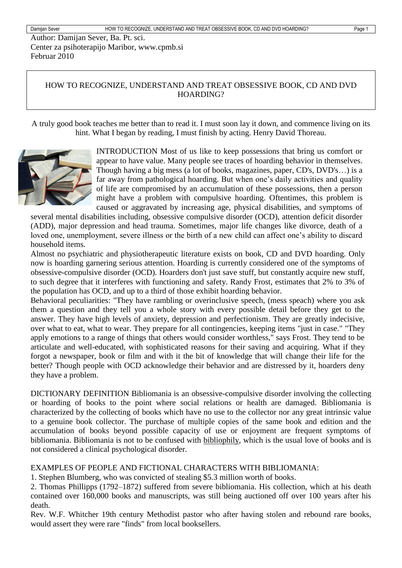Author: Damijan Sever, Ba. Pt. sci. Center za psihoterapijo Maribor, www.cpmb.si Februar 2010

### HOW TO RECOGNIZE, UNDERSTAND AND TREAT OBSESSIVE BOOK, CD AND DVD HOARDING?

A truly good book teaches me better than to read it. I must soon lay it down, and commence living on its hint. What I began by reading, I must finish by acting. Henry David Thoreau.



INTRODUCTION Most of us like to keep possessions that bring us comfort or appear to have value. Many people see traces of hoarding behavior in themselves. Though having a big mess (a lot of books, magazines, paper, CD's, DVD's…) is a far away from pathological hoarding. But when one's daily activities and quality of life are compromised by an accumulation of these possessions, then a person might have a problem with compulsive hoarding. Oftentimes, this problem is caused or aggravated by increasing age, physical disabilities, and symptoms of

several mental disabilities including, obsessive compulsive disorder (OCD), attention deficit disorder (ADD), major depression and head trauma. Sometimes, major life changes like divorce, death of a loved one, unemployment, severe illness or the birth of a new child can affect one's ability to discard household items.

Almost no psychiatric and physiotherapeutic literature exists on book, CD and DVD hoarding. Only now is hoarding garnering serious attention. Hoarding is currently considered one of the symptoms of obsessive-compulsive disorder (OCD). Hoarders don't just save stuff, but constantly acquire new stuff, to such degree that it interferes with functioning and safety. Randy Frost, estimates that 2% to 3% of the population has OCD, and up to a third of those exhibit hoarding behavior.

Behavioral peculiarities: "They have rambling or overinclusive speech, (mess speach) where you ask them a question and they tell you a whole story with every possible detail before they get to the answer. They have high levels of anxiety, depression and perfectionism. They are greatly indecisive, over what to eat, what to wear. They prepare for all contingencies, keeping items "just in case." "They apply emotions to a range of things that others would consider worthless," says Frost. They tend to be articulate and well-educated, with sophisticated reasons for their saving and acquiring. What if they forgot a newspaper, book or film and with it the bit of knowledge that will change their life for the better? Though people with OCD acknowledge their behavior and are distressed by it, hoarders deny they have a problem.

DICTIONARY DEFINITION Bibliomania is an [obsessive-compulsive disorder](http://www.askdefine.com/search?q=obsessive-compulsive%20disorder) involving the [collecting](http://www.askdefine.com/search?q=Book-Collecting) or [hoarding](http://www.askdefine.com/search?q=Compulsive%20hoarding) of [books](http://book.askdefine.com/) to the point where social relations or health are damaged. Bibliomania is characterized by the collecting of books which have no use to the collector nor any great intrinsic value to a genuine book collector. The purchase of multiple copies of the same book and edition and the accumulation of books beyond possible capacity of use or enjoyment are frequent symptoms of bibliomania. Bibliomania is not to be confused with [bibliophily,](http://bibliophily.askdefine.com/) which is the usual love of books and is not considered a clinical psychological disorder.

#### EXAMPLES OF PEOPLE AND FICTIONAL CHARACTERS WITH BIBLIOMANIA:

1. [Stephen Blumberg,](http://en.wikipedia.org/wiki/Stephen_Blumberg) who was convicted of stealing \$5.3 million worth of books.

2. [Thomas Phillipps](http://en.wikipedia.org/wiki/Thomas_Phillipps) (1792–1872) suffered from severe bibliomania. His collection, which at his death contained over 160,000 books and manuscripts, was still being auctioned off over 100 years after his death.

Rev. W.F. Whitcher 19th century Methodist pastor who after having stolen and rebound rare books, would assert they were rare "finds" from local booksellers.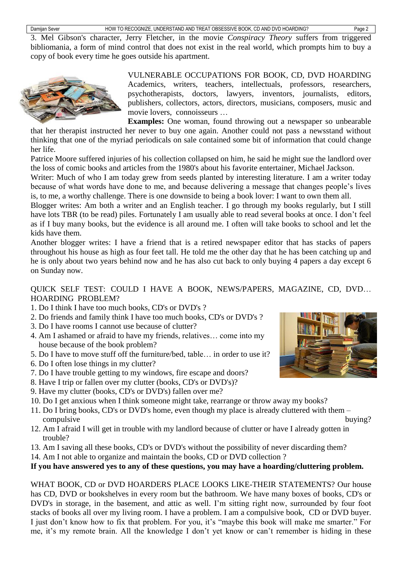3. Mel Gibson's character, Jerry Fletcher, in the movie *[Conspiracy Theory](http://en.wikipedia.org/wiki/Conspiracy_Theory_(film))* suffers from triggered bibliomania, a form of [mind control](http://en.wikipedia.org/wiki/Mind_control) that does not exist in the real world, which prompts him to buy a copy of book every time he goes outside his apartment.



VULNERABLE OCCUPATIONS FOR BOOK, CD, DVD HOARDING Academics, writers, teachers, intellectuals, professors, researchers, psychotherapists, doctors, lawyers, inventors, journalists, editors, publishers, collectors, actors, directors, musicians, composers, music and movie lovers, connoisseurs …

**Examples:** One woman, found throwing out a newspaper so unbearable that her therapist instructed her never to buy one again. Another could not pass a newsstand without thinking that one of the myriad periodicals on sale contained some bit of information that could change her life.

Patrice Moore suffered injuries of his collection collapsed on him, he said he might sue the landlord over the loss of comic books and articles from the 1980's about his favorite entertainer, Michael Jackson.

Writer: Much of who I am today grew from seeds planted by interesting literature. I am a writer today because of what words have done to me, and because delivering a message that changes people's lives is, to me, a worthy challenge. There is one downside to being a book lover: I want to own them all.

Blogger writes: Am both a writer and an English teacher. I go through my books regularly, but I still have lots TBR (to be read) piles. Fortunately I am usually able to read several books at once. I don't feel as if I buy many books, but the evidence is all around me. I often will take books to school and let the kids have them.

Another blogger writes: I have a friend that is a retired newspaper editor that has stacks of papers throughout his house as high as four feet tall. He told me the other day that he has been catching up and he is only about two years behind now and he has also cut back to only buying 4 papers a day except 6 on Sunday now.

QUICK SELF TEST: COULD I HAVE A BOOK, NEWS/PAPERS, MAGAZINE, CD, DVD… HOARDING PROBLEM?

- 1. Do I think I have too much books, CD's or DVD's ?
- 2. Do friends and family think I have too much books, CD's or DVD's ?
- 3. Do I have rooms I cannot use because of clutter?
- 4. Am I ashamed or afraid to have my friends, relatives… come into my house because of the book problem?
- 5. Do I have to move stuff off the furniture/bed, table… in order to use it?
- 6. Do I often lose things in my clutter?
- 7. Do I have trouble getting to my windows, fire escape and doors?
- 8. Have I trip or fallen over my clutter (books, CD's or DVD's)?
- 9. Have my clutter (books, CD's or DVD's) fallen over me?
- 10. Do I get anxious when I think someone might take, rearrange or throw away my books?
- 11. Do I bring books, CD's or DVD's home, even though my place is already cluttered with them compulsive buying?
- 12. Am I afraid I will get in trouble with my landlord because of clutter or have I already gotten in trouble?
- 13. Am I saving all these books, CD's or DVD's without the possibility of never discarding them?
- 14. Am I not able to organize and maintain the books, CD or DVD collection ?

#### **If you have answered yes to any of these questions, you may have a hoarding/cluttering problem.**

WHAT BOOK, CD or DVD HOARDERS PLACE LOOKS LIKE-THEIR STATEMENTS? Our house has CD, DVD or bookshelves in every room but the bathroom. We have many boxes of books, CD's or DVD's in storage, in the basement, and attic as well. I'm sitting right now, surrounded by four foot stacks of books all over my living room. I have a problem. I am a compulsive book, CD or DVD buyer. I just don't know how to fix that problem. For you, it's "maybe this book will make me smarter." For me, it's my remote brain. All the knowledge I don't yet know or can't remember is hiding in these

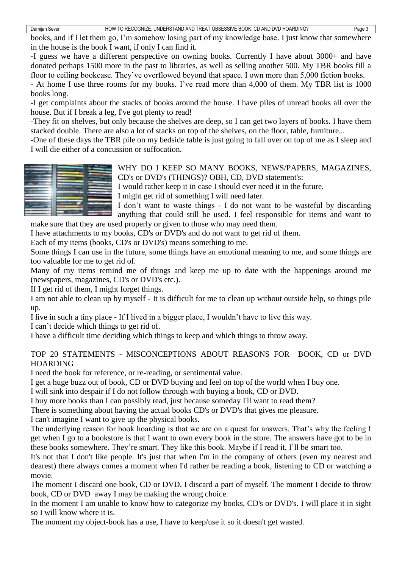books, and if I let them go, I'm somehow losing part of my knowledge base. I just know that somewhere in the house is the book I want, if only I can find it.

-I guess we have a different perspective on owning books. Currently I have about 3000+ and have donated perhaps 1500 more in the past to libraries, as well as selling another 500. My TBR books fill a floor to ceiling bookcase. They've overflowed beyond that space. I own more than 5,000 fiction books.

- At home I use three rooms for my books. I've read more than 4,000 of them. My TBR list is 1000 books long.

-I get complaints about the stacks of books around the house. I have piles of unread books all over the house. But if I break a leg, I've got plenty to read!

-They fit on shelves, but only because the shelves are deep, so I can get two layers of books. I have them stacked double. There are also a lot of stacks on top of the shelves, on the floor, table, furniture...

-One of these days the TBR pile on my bedside table is just going to fall over on top of me as I sleep and I will die either of a concussion or suffocation.



WHY DO I KEEP SO MANY BOOKS, NEWS/PAPERS, MAGAZINES, CD's or DVD's (THINGS)? OBH, CD, DVD statement's:

I would rather keep it in case I should ever need it in the future.

I might get rid of something I will need later.

I don't want to waste things - I do not want to be wasteful by discarding anything that could still be used. I feel responsible for items and want to

make sure that they are used properly or given to those who may need them. I have attachments to my books, CD's or DVD's and do not want to get rid of them.

Each of my items (books, CD's or DVD's) means something to me.

Some things I can use in the future, some things have an emotional meaning to me, and some things are too valuable for me to get rid of.

Many of my items remind me of things and keep me up to date with the happenings around me (newspapers, magazines, CD's or DVD's etc.).

If I get rid of them, I might forget things.

I am not able to clean up by myself - It is difficult for me to clean up without outside help, so things pile up.

I live in such a tiny place - If I lived in a bigger place, I wouldn't have to live this way.

I can't decide which things to get rid of.

I have a difficult time deciding which things to keep and which things to throw away.

## TOP 20 STATEMENTS - MISCONCEPTIONS ABOUT REASONS FOR BOOK, CD or DVD HOARDING

I need the book for reference, or re-reading, or sentimental value.

I get a huge buzz out of book, CD or DVD buying and feel on top of the world when I buy one.

I will sink into despair if I do not follow through with buying a book, CD or DVD.

I buy more books than I can possibly read, just because someday I'll want to read them?

There is something about having the actual books CD's or DVD's that gives me pleasure.

I can't imagine I want to give up the physical books.

The underlying reason for book hoarding is that we are on a quest for answers. That's why the feeling I get when I go to a bookstore is that I want to own every book in the store. The answers have got to be in these books somewhere. They're smart. They like this book. Maybe if I read it, I'll be smart too.

It's not that I don't like people. It's just that when I'm in the company of others (even my nearest and dearest) there always comes a moment when I'd rather be reading a book, listening to CD or watching a movie.

The moment I discard one book, CD or DVD, I discard a part of myself. The moment I decide to throw book, CD or DVD away I may be making the wrong choice.

In the moment I am unable to know how to categorize my books, CD's or DVD's. I will place it in sight so I will know where it is.

The moment my object-book has a use, I have to keep/use it so it doesn't get wasted.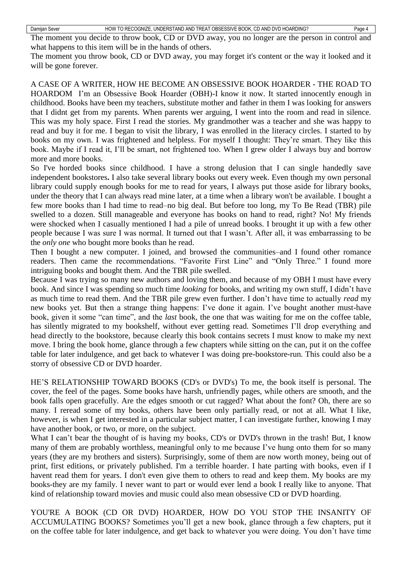| Damijan Sever |  |
|---------------|--|
|---------------|--|

The moment you throw book, CD or DVD away, you may forget it's content or the way it looked and it will be gone forever.

A CASE OF A WRITER, HOW HE BECOME AN OBSESSIVE BOOK HOARDER - THE ROAD TO HOARDOM I'm an Obsessive Book Hoarder (OBH)-I know it now. It started innocently enough in childhood. Books have been my teachers, substitute mother and father in them I was looking for answers that I didnt get from my parents. When parents wer arguing, I went into the room and read in silence. This was my holy space. First I read the stories. My grandmother was a teacher and she was happy to read and buy it for me. I began to visit the library, I was enrolled in the literacy circles. I started to by books on my own. I was frightened and helpless. For myself I thought: They're smart. They like this book. Maybe if I read it, I'll be smart, not frightened too. When I grew older I always buy and borrow more and more books.

So I've horded books since childhood. I have a strong delusion that I can single handedly save independent bookstores**.** I also take several library books out every week. Even though my own personal library could supply enough books for me to read for years, I always put those aside for library books, under the theory that I can always read mine later, at a time when a library won't be available. I bought a few more books than I had time to read–no big deal. But before too long, my To Be Read (TBR) pile swelled to a dozen. Still manageable and everyone has books on hand to read, right? No! My friends were shocked when I casually mentioned I had a pile of unread books. I brought it up with a few other people because I was sure I was normal. It turned out that I wasn't. After all, it was embarrassing to be the *only one* who bought more books than he read.

Then I bought a new computer. I joined, and browsed the communities–and I found other romance readers. Then came the recommendations. "Favorite First Line" and "Only Three." I found more intriguing books and bought them. And the TBR pile swelled.

Because I was trying so many new authors and loving them, and because of my OBH I must have every book. And since I was spending so much time *looking* for books, and writing my own stuff, I didn't have as much time to read them. And the TBR pile grew even further. I don't have time to actually *read* my new books yet. But then a strange thing happens: I've done it again. I've bought another must-have book, given it some "can time", and the *last* book, the one that was waiting for me on the coffee table, has silently migrated to my bookshelf, without ever getting read. Sometimes I'll drop everything and head directly to the bookstore, because clearly this book contains secrets I must know to make my next move. I bring the book home, glance through a few chapters while sitting on the can, put it on the coffee table for later indulgence, and get back to whatever I was doing pre-bookstore-run. This could also be a storry of obsessive CD or DVD hoarder.

HE'S RELATIONSHIP TOWARD BOOKS (CD's or DVD's) To me, the book itself is personal. The cover, the feel of the pages. Some books have harsh, unfriendly pages, while others are smooth, and the book falls open gracefully. Are the edges smooth or cut ragged? What about the font? Oh, there are so many. I reread some of my books, others have been only partially read, or not at all. What I like, however, is when I get interested in a particular subject matter, I can investigate further, knowing I may have another book, or two, or more, on the subject.

What I can't bear the thought of is having my books, CD's or DVD's thrown in the trash! But, I know many of them are probably worthless, meaningful only to me because I've hung onto them for so many years (they are my brothers and sisters). Surprisingly, some of them are now worth money, being out of print, first editions, or privately published. I'm a terrible hoarder. I hate parting with books, even if I havent read them for years. I don't even give them to others to read and keep them. My books are my books-they are my family. I never want to part or would ever lend a book I really like to anyone. That kind of relationship toward movies and music could also mean obsessive CD or DVD hoarding.

YOU'RE A BOOK (CD OR DVD) HOARDER, HOW DO YOU STOP THE INSANITY OF ACCUMULATING BOOKS? Sometimes you'll get a new book, glance through a few chapters, put it on the coffee table for later indulgence, and get back to whatever you were doing. You don't have time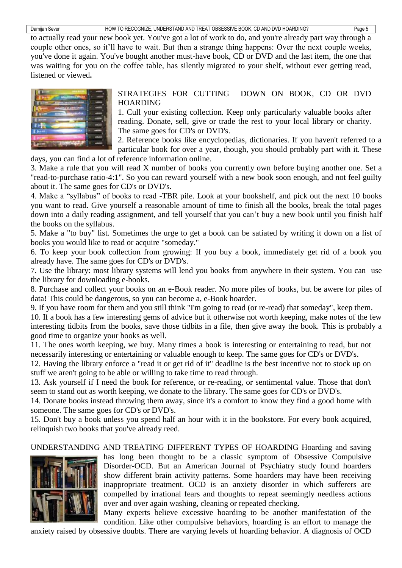to actually read your new book yet. You've got a lot of work to do, and you're already part way through a couple other ones, so it'll have to wait. But then a strange thing happens: Over the next couple weeks, you've done it again. You've bought another must-have book, CD or DVD and the last item, the one that was waiting for you on the coffee table, has silently migrated to your shelf, without ever getting read, listened or viewed**.**



STRATEGIES FOR [CUTTING DOWN ON BOOK, CD OR](http://lifehacker.com/5138508/cut-down-on-book-hoarding) DVD [HOARDING](http://lifehacker.com/5138508/cut-down-on-book-hoarding)

1. Cull your existing collection. Keep only particularly valuable books after reading. Donate, sell, give or trade the rest to your local library or charity. The same goes for CD's or DVD's.

2. Reference books like encyclopedias, dictionaries. If you haven't referred to a particular book for over a year, though, you should probably part with it. These days, you can find a lot of reference information online.

3. Make a rule that you will read X number of books you currently own before buying another one. Set a "read-to-purchase ratio-4:1". So you can reward yourself with a new book soon enough, and not feel guilty about it. The same goes for CD's or DVD's.

4. Make a "syllabus" of books to read -TBR pile. Look at your bookshelf, and pick out the next 10 books you want to read. Give yourself a reasonable amount of time to finish all the books, break the total pages down into a daily reading assignment, and tell yourself that you can't buy a new book until you finish half the books on the syllabus.

5. Make a "to buy" list. Sometimes the urge to get a book can be satiated by writing it down on a list of books you would like to read or acquire "someday."

6. To keep your book collection from growing: If you buy a book, immediately get rid of a book you already have. The same goes for CD's or DVD's.

7. Use the library: most library systems will lend you books from anywhere in their system. You can use the library for downloading e-books.

8. Purchase and collect your books on an e-Book reader. No more piles of books, but be awere for piles of data! This could be dangerous, so you can become a, e-Book hoarder.

9. If you have room for them and you still think "I'm going to read (or re-read) that someday", keep them.

10. If a book has a few interesting gems of advice but it otherwise not worth keeping, make notes of the few interesting tidbits from the books, save those tidbits in a file, then give away the book. This is probably a good time to [organize your books](http://www.wikihow.com/Organize-Books) as well.

11. The ones worth keeping, we buy. Many times a book is interesting or entertaining to read, but not necessarily interesting or entertaining or valuable enough to keep. The same goes for CD's or DVD's.

12. Having the library enforce a "read it or get rid of it" deadline is the best incentive not to stock up on stuff we aren't going to be able or willing to take time to read through.

13. Ask yourself if I need the book for reference, or re-reading, or sentimental value. Those that don't seem to stand out as worth keeping, we donate to the library. The same goes for CD's or DVD's.

14. Donate books instead throwing them away, since it's a comfort to know they find a good home with someone. The same goes for CD's or DVD's.

15. Don't buy a book unless you spend half an hour with it in the bookstore. For every book acquired, relinquish two books that you've already reed.

UNDERSTANDING AND TREATING DIFFERENT TYPES OF HOARDING Hoarding and saving



has long been thought to be a classic symptom of Obsessive Compulsive Disorder**-**OCD. But an American Journal of Psychiatry study found hoarders show different brain activity patterns. Some hoarders may have been receiving inappropriate treatment. OCD is an anxiety disorder in which sufferers are compelled by irrational fears and thoughts to repeat seemingly needless actions over and over again washing, cleaning or repeated checking.

Many experts believe excessive hoarding to be another manifestation of the condition. Like other compulsive behaviors, hoarding is an effort to manage the

anxiety raised by obsessive doubts. There are varying levels of hoarding behavior. A diagnosis of OCD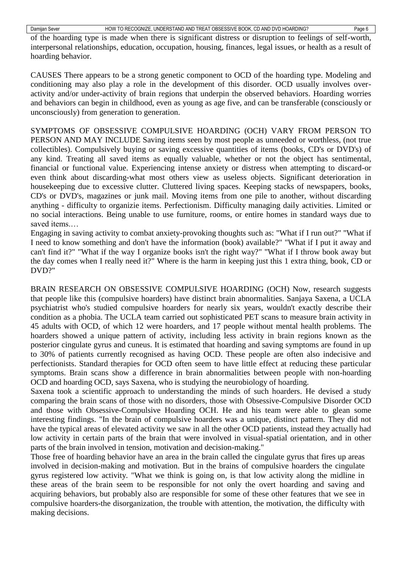of the hoarding type is made when there is significant distress or disruption to feelings of self-worth, interpersonal relationships, education, occupation, housing, finances, legal issues, or health as a result of hoarding behavior.

CAUSES There appears to be a strong genetic component to OCD of the hoarding type. Modeling and conditioning may also play a role in the development of this disorder. OCD usually involves overactivity and/or under-activity of brain regions that underpin the observed behaviors. Hoarding worries and behaviors can begin in childhood, even as young as age five, and can be transferable (consciously or unconsciously) from generation to generation.

SYMPTOMS OF OBSESSIVE COMPULSIVE HOARDING (OCH) VARY FROM PERSON TO PERSON AND MAY INCLUDE Saving items seen by most people as unneeded or worthless, (not true collectibles). Compulsively buying or saving excessive quantities of items (books, CD's or DVD's) of any kind. Treating all saved items as equally valuable, whether or not the object has sentimental, financial or functional value. Experiencing intense anxiety or distress when attempting to discard-or even think about discarding-what most others view as useless objects. Significant deterioration in housekeeping due to excessive clutter. Cluttered living spaces. Keeping stacks of newspapers, books, CD's or DVD's, magazines or junk mail. Moving items from one pile to another, without discarding anything - difficulty to organizie items. Perfectionism. Difficulty managing daily activities. Limited or no social interactions. Being unable to use furniture, rooms, or entire homes in standard ways due to saved items.…

Engaging in saving activity to combat anxiety-provoking thoughts such as: "What if I run out?" "What if I need to know something and don't have the information (book) available?" "What if I put it away and can't find it?" "What if the way I organize books isn't the right way?" "What if I throw book away but the day comes when I really need it?" Where is the harm in keeping just this 1 extra thing, book, CD or DVD?"

BRAIN RESEARCH ON OBSESSIVE COMPULSIVE HOARDING (OCH) Now, research suggests that people like this (compulsive hoarders) have distinct brain abnormalities. [Sanjaya Saxena,](http://www.neurosci.ucla.edu/facultyindiv.php?FacultyKey=2320) a [UCLA](http://www.humc.edu/) psychiatrist who's studied [compulsive hoarders](http://www.bio-behavioral.com/hoarding.asp) for nearly six years, wouldn't exactly describe their condition as a phobia. The UCLA team carried out sophisticated PET scans to measure brain activity in 45 adults with OCD, of which 12 were hoarders, and 17 people without mental health problems. The hoarders showed a unique pattern of activity, including less activity in brain regions known as the posterior cingulate gyrus and cuneus. It is estimated that hoarding and saving symptoms are found in up to 30% of patients currently recognised as having OCD. These people are often also indecisive and perfectionists. Standard therapies for OCD often seem to have little effect at reducing these particular symptoms. Brain scans show a difference in brain abnormalities between people with non-hoarding OCD and hoarding OCD, says Saxena, who is studying the neurobiology of hoarding.

Saxena took a scientific approach to understanding the minds of such hoarders. He devised a study comparing the brain scans of those with no disorders, those with [Obsessive-Compulsive Disorder](http://www.ocfoundation.org/ocf1010a.htm) OCD and those with Obsessive-Compulsive Hoarding OCH. He and his team were able to glean some interesting findings. "In the brain of compulsive hoarders was a unique, distinct pattern. They did not have the typical areas of elevated activity we saw in all the other OCD patients, instead they actually had low activity in certain parts of the brain that were involved in visual-spatial orientation, and in other parts of the brain involved in tension, motivation and decision-making."

Those free of hoarding behavior have an area in the brain called the [cingulate gyrus](http://www.brainplace.com/bp/brainsystem/cingulate.asp) that fires up areas involved in decision-making and motivation. But in the brains of compulsive hoarders the cingulate gyrus registered low activity. "What we think is going on, is that low activity along the midline in these areas of the brain seem to be responsible for not only the overt hoarding and saving and acquiring behaviors, but probably also are responsible for some of these other features that we see in compulsive hoarders-the disorganization, the trouble with attention, the motivation, the difficulty with making decisions.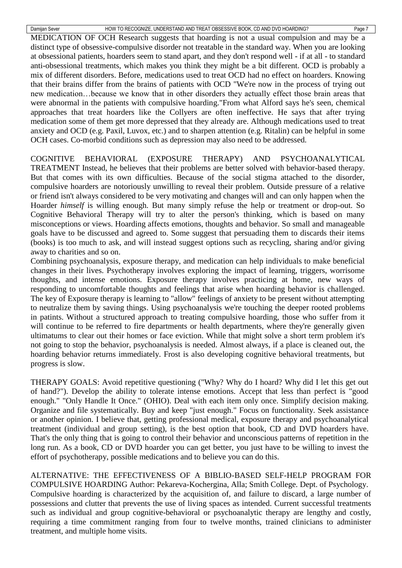MEDICATION OF OCH Research suggests that hoarding is not a usual compulsion and may be a distinct type of obsessive-compulsive disorder not treatable in the standard way. When you are looking at obsessional patients, hoarders seem to stand apart, and they don't respond well - if at all - to standard anti-obsessional treatments, which makes you think they might be a bit different. OCD is probably a mix of different disorders. Before, [medications used to treat OCD](http://www.ocfoundation.org/ocf1050a.htm) had no effect on hoarders. Knowing that their brains differ from the brains of patients with OCD "We're now in the process of trying out new medication…because we know that in other disorders they actually effect those brain areas that were abnormal in the patients with compulsive hoarding."From what Alford says he's seen, chemical approaches that treat hoarders like the Collyers are often ineffective. He says that after trying medication some of them get more depressed that they already are. Although medications used to treat anxiety and OCD (e.g. Paxil, Luvox, etc.) and to sharpen attention (e.g. Ritalin) can be helpful in some OCH cases. Co-morbid conditions such as depression may also need to be addressed.

COGNITIVE BEHAVIORAL (EXPOSURE THERAPY) AND PSYCHOANALYTICAL TREATMENT Instead, he believes that their problems are better solved with behavior-based therapy. But that comes with its own difficulties. Because of the social stigma attached to the disorder, compulsive hoarders are notoriously unwilling to reveal their problem. Outside pressure of a relative or friend isn't always considered to be very motivating and changes will and can only happen when the Hoarder *himself* is willing enough. But many simply refuse the help or treatment or drop-out. So Cognitive Behavioral Therapy will try to alter the person's thinking, which is based on many misconceptions or views. Hoarding affects emotions, thoughts and behavior. So small and manageable goals have to be discussed and agreed to. Some suggest that persuading them to discards their items (books) is too much to ask, and will instead suggest options such as recycling, sharing and/or giving away to charities and so on.

Combining psychoanalysis, exposure therapy, and medication can help individuals to make beneficial changes in their lives. Psychotherapy involves exploring the impact of learning, triggers, worrisome thoughts, and intense emotions. Exposure therapy involves practicing at home, new ways of responding to uncomfortable thoughts and feelings that arise when hoarding behavior is challenged. The key of Exposure therapy is learning to "allow" feelings of anxiety to be present without attempting to neutralize them by saving things. Using psychoanalysis we're touching the deeper rooted problems in patints. Without a structured approach to treating compulsive hoarding, those who suffer from it will continue to be referred to fire departments or health departments, where they're generally given ultimatums to clear out their homes or face eviction. While that might solve a short term problem it's not going to stop the behavior, psychoanalysis is needed. Almost always, if a place is cleaned out, the hoarding behavior returns immediately. Frost is also developing cognitive behavioral treatments, but progress is slow.

THERAPY GOALS: Avoid repetitive questioning ("Why? Why do I hoard? Why did I let this get out of hand?"). Develop the ability to tolerate intense emotions. Accept that less than perfect is "good enough." "Only Handle It Once." (OHIO). Deal with each item only once. Simplify decision making. Organize and file systematically. Buy and keep "just enough." Focus on functionality. Seek assistance or another opinion. I believe that, getting professional medical, exposure therapy and psychoanalytical treatment (individual and group setting), is the best option that book, CD and DVD hoarders have. That's the only thing that is going to control their behavior and unconscious patterns of repetition in the long run. As a book, CD or DVD hoarder you can get better, you just have to be willing to invest the effort of psychotherapy, possible medications and to believe you can do this.

ALTERNATIVE: THE EFFECTIVENESS OF A BIBLIO-BASED SELF-HELP PROGRAM FOR COMPULSIVE HOARDING Author: Pekareva-Kochergina, Alla; Smith College. Dept. of Psychology. Compulsive hoarding is characterized by the acquisition of, and failure to discard, a large number of possessions and clutter that prevents the use of living spaces as intended. Current successful treatments such as individual and group cognitive-behavioral or psychoanalytic therapy are lengthy and costly, requiring a time commitment ranging from four to twelve months, trained clinicians to administer treatment, and multiple home visits.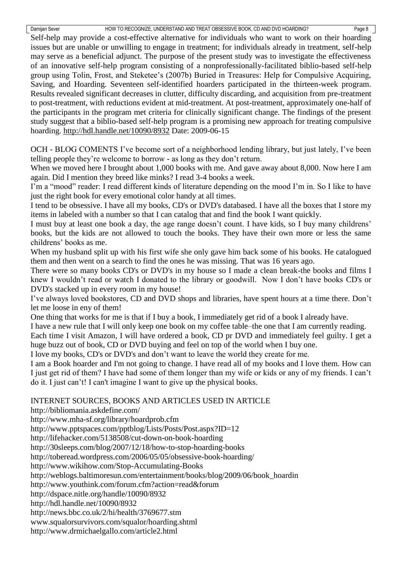Self-help may provide a cost-effective alternative for individuals who want to work on their hoarding issues but are unable or unwilling to engage in treatment; for individuals already in treatment, self-help may serve as a beneficial adjunct. The purpose of the present study was to investigate the effectiveness of an innovative self-help program consisting of a nonprofessionally-facilitated biblio-based self-help group using Tolin, Frost, and Steketee's (2007b) Buried in Treasures: Help for Compulsive Acquiring, Saving, and Hoarding. Seventeen self-identified hoarders participated in the thirteen-week program. Results revealed significant decreases in clutter, difficulty discarding, and acquisition from pre-treatment to post-treatment, with reductions evident at mid-treatment. At post-treatment, approximately one-half of the participants in the program met criteria for clinically significant change. The findings of the present study suggest that a biblio-based self-help program is a promising new approach for treating compulsive hoarding.<http://hdl.handle.net/10090/8932> Date: 2009-06-15

OCH - BLOG COMENTS I've become sort of a neighborhood lending library, but just lately, I've been telling people they're welcome to borrow - as long as they don't return.

When we moved here I brought about 1,000 books with me. And gave away about 8,000. Now here I am again. Did I mention they breed like minks? I read 3-4 books a week.

I'm a "mood" reader: I read different kinds of literature depending on the mood I'm in. So I like to have just the right book for every emotional color handy at all times.

I tend to be obsessive. I have all my books, CD's or DVD's databased. I have all the boxes that I store my items in labeled with a number so that I can catalog that and find the book I want quickly.

I must buy at least one book a day, the age range doesn't count. I have kids, so I buy many childrens' books, but the kids are not allowed to touch the books. They have their own more or less the same childrens' books as me.

When my husband split up with his first wife she only gave him back some of his books. He catalogued them and then went on a search to find the ones he was missing. That was 16 years ago.

There were so many books CD's or DVD's in my house so I made a clean break-the books and films I knew I wouldn't read or watch I donated to the library or goodwill. Now I don't have books CD's or DVD's stacked up in every room in my house!

I've always loved bookstores, CD and DVD shops and libraries, have spent hours at a time there. Don't let me loose in eny of them!

One thing that works for me is that if I buy a book, I immediately get rid of a book I already have.

I have a new rule that I will only keep one book on my coffee table–the one that I am currently reading.

Each time I visit Amazon, I will have ordered a book, CD pr DVD and immediately feel guilty. I get a huge buzz out of book, CD or DVD buying and feel on top of the world when I buy one.

I love my books, CD's or DVD's and don't want to leave the world they create for me.

I am a Book hoarder and I'm not going to change. I have read all of my books and I love them. How can I just get rid of them? I have had some of them longer than my wife or kids or any of my friends. I can't do it. I just can't! I can't imagine I want to give up the physical books.

# INTERNET SOURCES, BOOKS AND ARTICLES USED IN ARTICLE

<http://bibliomania.askdefine.com/>

<http://www.mha-sf.org/library/hoardprob.cfm>

<http://www.pptspaces.com/pptblog/Lists/Posts/Post.aspx?ID=12>

<http://lifehacker.com/5138508/cut-down-on-book-hoarding>

<http://30sleeps.com/blog/2007/12/18/how-to-stop-hoarding-books>

<http://toberead.wordpress.com/2006/05/05/obsessive-book-hoarding/>

<http://www.wikihow.com/Stop-Accumulating-Books>

http://weblogs.baltimoresun.com/entertainment/books/blog/2009/06/book\_hoardin

http://www.youthink.com/forum.cfm?action=read&forum

<http://dspace.nitle.org/handle/10090/8932>

<http://hdl.handle.net/10090/8932>

<http://news.bbc.co.uk/2/hi/health/3769677.stm>

[www.squalorsurvivors.com/squalor/hoarding.shtml](http://www.squalorsurvivors.com/squalor/hoarding.shtml)

<http://www.drmichaelgallo.com/article2.html>